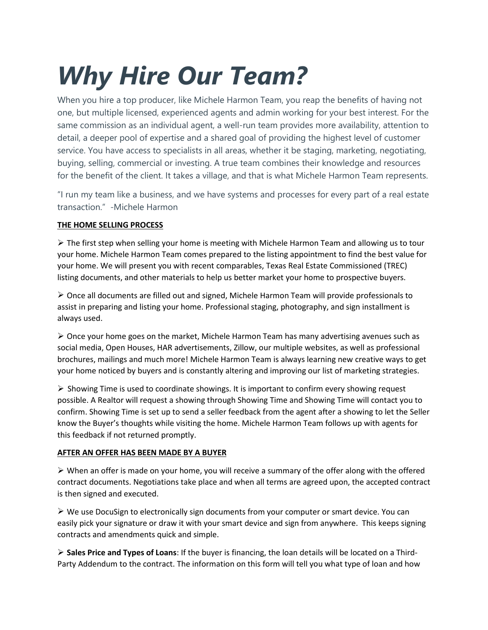## *Why Hire Our Team?*

When you hire a top producer, like Michele Harmon Team, you reap the benefits of having not one, but multiple licensed, experienced agents and admin working for your best interest. For the same commission as an individual agent, a well-run team provides more availability, attention to detail, a deeper pool of expertise and a shared goal of providing the highest level of customer service. You have access to specialists in all areas, whether it be staging, marketing, negotiating, buying, selling, commercial or investing. A true team combines their knowledge and resources for the benefit of the client. It takes a village, and that is what Michele Harmon Team represents.

"I run my team like a business, and we have systems and processes for every part of a real estate transaction." -Michele Harmon

## **THE HOME SELLING PROCESS**

 $\triangleright$  The first step when selling your home is meeting with Michele Harmon Team and allowing us to tour your home. Michele Harmon Team comes prepared to the listing appointment to find the best value for your home. We will present you with recent comparables, Texas Real Estate Commissioned (TREC) listing documents, and other materials to help us better market your home to prospective buyers.

 $\triangleright$  Once all documents are filled out and signed, Michele Harmon Team will provide professionals to assist in preparing and listing your home. Professional staging, photography, and sign installment is always used.

 $\triangleright$  Once your home goes on the market, Michele Harmon Team has many advertising avenues such as social media, Open Houses, HAR advertisements, Zillow, our multiple websites, as well as professional brochures, mailings and much more! Michele Harmon Team is always learning new creative ways to get your home noticed by buyers and is constantly altering and improving our list of marketing strategies.

 $\triangleright$  Showing Time is used to coordinate showings. It is important to confirm every showing request possible. A Realtor will request a showing through Showing Time and Showing Time will contact you to confirm. Showing Time is set up to send a seller feedback from the agent after a showing to let the Seller know the Buyer's thoughts while visiting the home. Michele Harmon Team follows up with agents for this feedback if not returned promptly.

## **AFTER AN OFFER HAS BEEN MADE BY A BUYER**

 $\triangleright$  When an offer is made on your home, you will receive a summary of the offer along with the offered contract documents. Negotiations take place and when all terms are agreed upon, the accepted contract is then signed and executed.

 $\triangleright$  We use DocuSign to electronically sign documents from your computer or smart device. You can easily pick your signature or draw it with your smart device and sign from anywhere. This keeps signing contracts and amendments quick and simple.

 **Sales Price and Types of Loans**: If the buyer is financing, the loan details will be located on a Third-Party Addendum to the contract. The information on this form will tell you what type of loan and how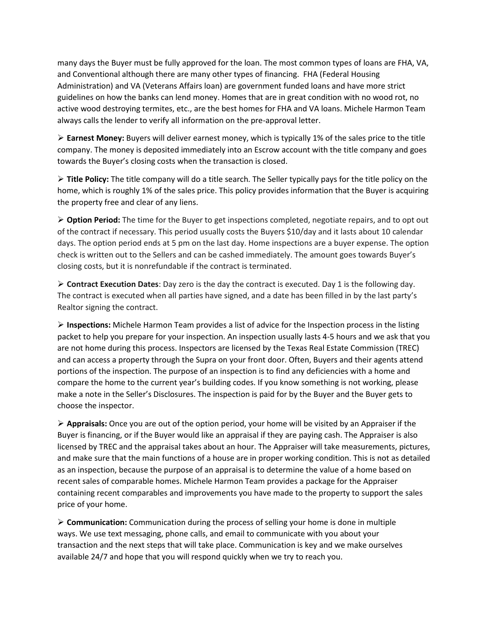many days the Buyer must be fully approved for the loan. The most common types of loans are FHA, VA, and Conventional although there are many other types of financing. FHA (Federal Housing Administration) and VA (Veterans Affairs loan) are government funded loans and have more strict guidelines on how the banks can lend money. Homes that are in great condition with no wood rot, no active wood destroying termites, etc., are the best homes for FHA and VA loans. Michele Harmon Team always calls the lender to verify all information on the pre-approval letter.

 **Earnest Money:** Buyers will deliver earnest money, which is typically 1% of the sales price to the title company. The money is deposited immediately into an Escrow account with the title company and goes towards the Buyer's closing costs when the transaction is closed.

 **Title Policy:** The title company will do a title search. The Seller typically pays for the title policy on the home, which is roughly 1% of the sales price. This policy provides information that the Buyer is acquiring the property free and clear of any liens.

 **Option Period:** The time for the Buyer to get inspections completed, negotiate repairs, and to opt out of the contract if necessary. This period usually costs the Buyers \$10/day and it lasts about 10 calendar days. The option period ends at 5 pm on the last day. Home inspections are a buyer expense. The option check is written out to the Sellers and can be cashed immediately. The amount goes towards Buyer's closing costs, but it is nonrefundable if the contract is terminated.

 **Contract Execution Dates**: Day zero is the day the contract is executed. Day 1 is the following day. The contract is executed when all parties have signed, and a date has been filled in by the last party's Realtor signing the contract.

 **Inspections:** Michele Harmon Team provides a list of advice for the Inspection process in the listing packet to help you prepare for your inspection. An inspection usually lasts 4-5 hours and we ask that you are not home during this process. Inspectors are licensed by the Texas Real Estate Commission (TREC) and can access a property through the Supra on your front door. Often, Buyers and their agents attend portions of the inspection. The purpose of an inspection is to find any deficiencies with a home and compare the home to the current year's building codes. If you know something is not working, please make a note in the Seller's Disclosures. The inspection is paid for by the Buyer and the Buyer gets to choose the inspector.

 **Appraisals:** Once you are out of the option period, your home will be visited by an Appraiser if the Buyer is financing, or if the Buyer would like an appraisal if they are paying cash. The Appraiser is also licensed by TREC and the appraisal takes about an hour. The Appraiser will take measurements, pictures, and make sure that the main functions of a house are in proper working condition. This is not as detailed as an inspection, because the purpose of an appraisal is to determine the value of a home based on recent sales of comparable homes. Michele Harmon Team provides a package for the Appraiser containing recent comparables and improvements you have made to the property to support the sales price of your home.

 **Communication:** Communication during the process of selling your home is done in multiple ways. We use text messaging, phone calls, and email to communicate with you about your transaction and the next steps that will take place. Communication is key and we make ourselves available 24/7 and hope that you will respond quickly when we try to reach you.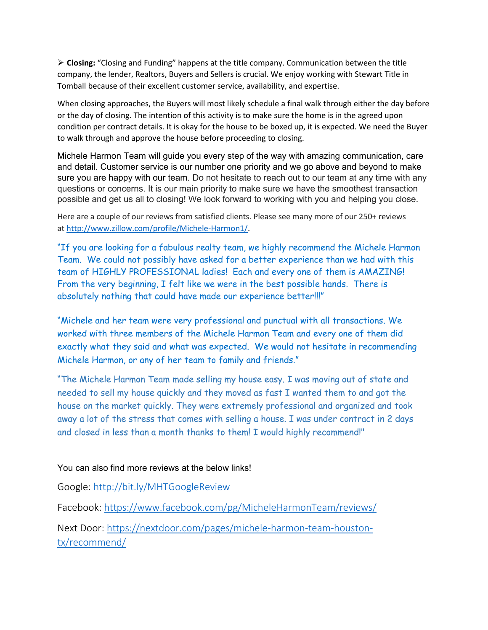**Closing:** "Closing and Funding" happens at the title company. Communication between the title company, the lender, Realtors, Buyers and Sellers is crucial. We enjoy working with Stewart Title in Tomball because of their excellent customer service, availability, and expertise.

When closing approaches, the Buyers will most likely schedule a final walk through either the day before or the day of closing. The intention of this activity is to make sure the home is in the agreed upon condition per contract details. It is okay for the house to be boxed up, it is expected. We need the Buyer to walk through and approve the house before proceeding to closing.

Michele Harmon Team will guide you every step of the way with amazing communication, care and detail. Customer service is our number one priority and we go above and beyond to make sure you are happy with our team. Do not hesitate to reach out to our team at any time with any questions or concerns. It is our main priority to make sure we have the smoothest transaction possible and get us all to closing! We look forward to working with you and helping you close.

Here are a couple of our reviews from satisfied clients. Please see many more of our 250+ reviews at [http://www.zillow.com/profile/Michele-Harmon1/.](http://www.zillow.com/profile/Michele-Harmon1/)

"If you are looking for a fabulous realty team, we highly recommend the Michele Harmon Team. We could not possibly have asked for a better experience than we had with this team of HIGHLY PROFESSIONAL ladies! Each and every one of them is AMAZING! From the very beginning, I felt like we were in the best possible hands. There is absolutely nothing that could have made our experience better!!!"

"Michele and her team were very professional and punctual with all transactions. We worked with three members of the Michele Harmon Team and every one of them did exactly what they said and what was expected. We would not hesitate in recommending Michele Harmon, or any of her team to family and friends."

"The Michele Harmon Team made selling my house easy. I was moving out of state and needed to sell my house quickly and they moved as fast I wanted them to and got the house on the market quickly. They were extremely professional and organized and took away a lot of the stress that comes with selling a house. I was under contract in 2 days and closed in less than a month thanks to them! I would highly recommend!"

You can also find more reviews at the below links!

Google: <http://bit.ly/MHTGoogleReview>

Facebook: <https://www.facebook.com/pg/MicheleHarmonTeam/reviews/>

Next Door: [https://nextdoor.com/pages/michele-harmon-team-houston](https://nextdoor.com/pages/michele-harmon-team-houston-tx/recommend/)[tx/recommend/](https://nextdoor.com/pages/michele-harmon-team-houston-tx/recommend/)